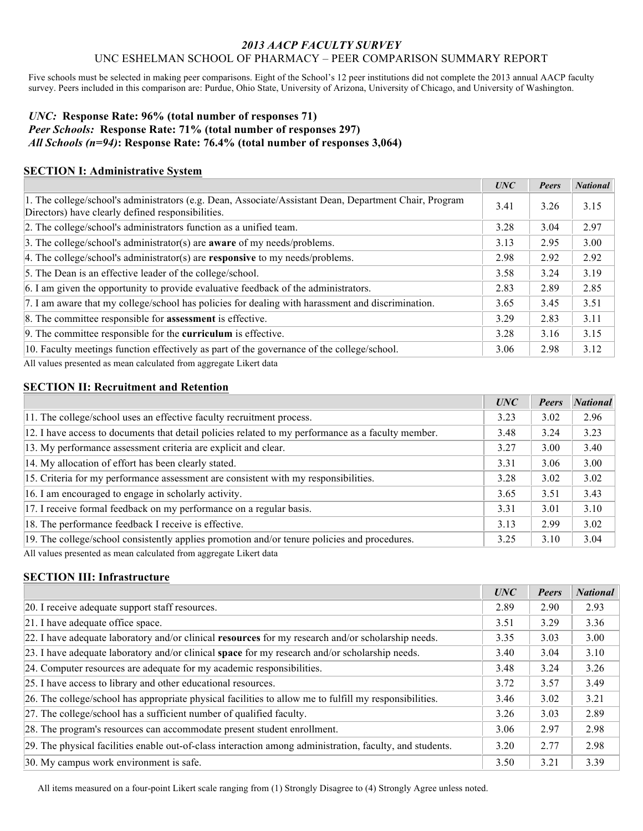## *2013 AACP FACULTY SURVEY* UNC ESHELMAN SCHOOL OF PHARMACY – PEER COMPARISON SUMMARY REPORT

Five schools must be selected in making peer comparisons. Eight of the School's 12 peer institutions did not complete the 2013 annual AACP faculty survey. Peers included in this comparison are: Purdue, Ohio State, University of Arizona, University of Chicago, and University of Washington.

## *UNC:* **Response Rate: 96% (total number of responses 71)** *Peer Schools:* **Response Rate: 71% (total number of responses 297)** *All Schools (n=94)***: Response Rate: 76.4% (total number of responses 3,064)**

## **SECTION I: Administrative System**

|                                                                                                                                                             | UNC  | Peers | <b>National</b> |
|-------------------------------------------------------------------------------------------------------------------------------------------------------------|------|-------|-----------------|
| 1. The college/school's administrators (e.g. Dean, Associate/Assistant Dean, Department Chair, Program<br>Directors) have clearly defined responsibilities. | 3.41 | 3.26  | 3.15            |
| 2. The college/school's administrators function as a unified team.                                                                                          | 3.28 | 3.04  | 2.97            |
| 3. The college/school's administrator(s) are <b>aware</b> of my needs/problems.                                                                             | 3.13 | 2.95  | 3.00            |
| 4. The college/school's administrator(s) are <b>responsive</b> to my needs/problems.                                                                        | 2.98 | 2.92  | 2.92            |
| 5. The Dean is an effective leader of the college/school.                                                                                                   | 3.58 | 3.24  | 3.19            |
| 6. I am given the opportunity to provide evaluative feedback of the administrators.                                                                         | 2.83 | 2.89  | 2.85            |
| 7. I am aware that my college/school has policies for dealing with harassment and discrimination.                                                           | 3.65 | 3.45  | 3.51            |
| 8. The committee responsible for <b>assessment</b> is effective.                                                                                            | 3.29 | 2.83  | 3.11            |
| 9. The committee responsible for the <b>curriculum</b> is effective.                                                                                        | 3.28 | 3.16  | 3.15            |
| 10. Faculty meetings function effectively as part of the governance of the college/school.                                                                  | 3.06 | 2.98  | 3.12            |
| All values presented as mean experienced from aggregate Libert data                                                                                         |      |       |                 |

values presented as mean calculated from aggregate Likert data

## **SECTION II: Recruitment and Retention**

|                                                                                                    | <b>UNC</b> | Peers | <b>National</b> |
|----------------------------------------------------------------------------------------------------|------------|-------|-----------------|
| 11. The college/school uses an effective faculty recruitment process.                              | 3.23       | 3.02  | 2.96            |
| 12. I have access to documents that detail policies related to my performance as a faculty member. | 3.48       | 3.24  | 3.23            |
| 13. My performance assessment criteria are explicit and clear.                                     | 3.27       | 3.00  | 3.40            |
| 14. My allocation of effort has been clearly stated.                                               | 3.31       | 3.06  | 3.00            |
| 15. Criteria for my performance assessment are consistent with my responsibilities.                | 3.28       | 3.02  | 3.02            |
| 16. I am encouraged to engage in scholarly activity.                                               | 3.65       | 3.51  | 3.43            |
| 17. I receive formal feedback on my performance on a regular basis.                                | 3.31       | 3.01  | 3.10            |
| 18. The performance feedback I receive is effective.                                               | 3.13       | 2.99  | 3.02            |
| 19. The college/school consistently applies promotion and/or tenure policies and procedures.       | 3.25       | 3.10  | 3.04            |

All values presented as mean calculated from aggregate Likert data

# **SECTION III: Infrastructure**

|                                                                                                          | UNC  | Peers | <b>National</b> |
|----------------------------------------------------------------------------------------------------------|------|-------|-----------------|
| 20. I receive adequate support staff resources.                                                          | 2.89 | 2.90  | 2.93            |
| 21. I have adequate office space.                                                                        | 3.51 | 3.29  | 3.36            |
| 22. I have adequate laboratory and/or clinical resources for my research and/or scholarship needs.       | 3.35 | 3.03  | 3.00            |
| $[23.1]$ have adequate laboratory and/or clinical space for my research and/or scholarship needs.        | 3.40 | 3.04  | 3.10            |
| 24. Computer resources are adequate for my academic responsibilities.                                    | 3.48 | 3.24  | 3.26            |
| 25. I have access to library and other educational resources.                                            | 3.72 | 3.57  | 3.49            |
| 26. The college/school has appropriate physical facilities to allow me to fulfill my responsibilities.   | 3.46 | 3.02  | 3.21            |
| 27. The college/school has a sufficient number of qualified faculty.                                     | 3.26 | 3.03  | 2.89            |
| 28. The program's resources can accommodate present student enrollment.                                  | 3.06 | 2.97  | 2.98            |
| 29. The physical facilities enable out-of-class interaction among administration, faculty, and students. | 3.20 | 2.77  | 2.98            |
| 30. My campus work environment is safe.                                                                  | 3.50 | 3.21  | 3.39            |

All items measured on a four-point Likert scale ranging from (1) Strongly Disagree to (4) Strongly Agree unless noted.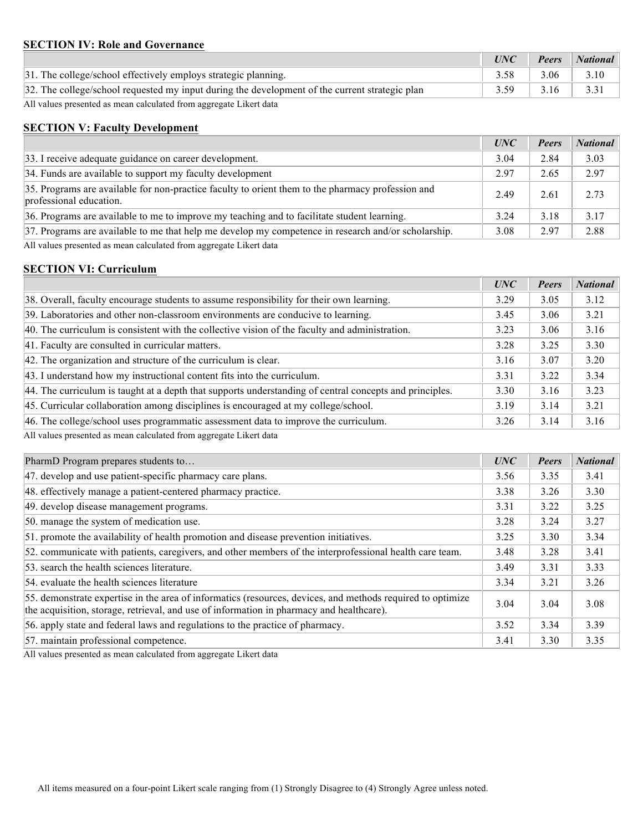#### **SECTION IV: Role and Governance**

|                                                                                                | UNC  | <b>Peers</b> | <i>National</i> |
|------------------------------------------------------------------------------------------------|------|--------------|-----------------|
| 31. The college/school effectively employs strategic planning.                                 |      | 3.06         | 3.10            |
| 32. The college/school requested my input during the development of the current strategic plan | 3.59 | 3.16         | 3.31            |

All values presented as mean calculated from aggregate Likert data

### **SECTION V: Faculty Development**

|                                                                                                                              | <b>UNC</b> | <b>Peers</b> | <b>National</b> |
|------------------------------------------------------------------------------------------------------------------------------|------------|--------------|-----------------|
| 33. I receive adequate guidance on career development.                                                                       | 3.04       | 2.84         | 3.03            |
| 34. Funds are available to support my faculty development                                                                    | 2.97       | 2.65         | 2.97            |
| 35. Programs are available for non-practice faculty to orient them to the pharmacy profession and<br>professional education. | 2.49       | 2.61         | 2.73            |
| 36. Programs are available to me to improve my teaching and to facilitate student learning.                                  | 3.24       | 3.18         | 3.17            |
| 37. Programs are available to me that help me develop my competence in research and/or scholarship.                          | 3.08       | 2.97         | 2.88            |

All values presented as mean calculated from aggregate Likert data

### **SECTION VI: Curriculum**

|                                                                                                         | UNC  | <b>Peers</b> | <b>National</b> |
|---------------------------------------------------------------------------------------------------------|------|--------------|-----------------|
| 38. Overall, faculty encourage students to assume responsibility for their own learning.                | 3.29 | 3.05         | 3.12            |
| 39. Laboratories and other non-classroom environments are conducive to learning.                        | 3.45 | 3.06         | 3.21            |
| 40. The curriculum is consistent with the collective vision of the faculty and administration.          | 3.23 | 3.06         | 3.16            |
| 41. Faculty are consulted in curricular matters.                                                        | 3.28 | 3.25         | 3.30            |
| 42. The organization and structure of the curriculum is clear.                                          | 3.16 | 3.07         | 3.20            |
| 43. I understand how my instructional content fits into the curriculum.                                 | 3.31 | 3.22         | 3.34            |
| 44. The curriculum is taught at a depth that supports understanding of central concepts and principles. | 3.30 | 3.16         | 3.23            |
| 45. Curricular collaboration among disciplines is encouraged at my college/school.                      | 3.19 | 3.14         | 3.21            |
| 46. The college/school uses programmatic assessment data to improve the curriculum.                     | 3.26 | 3.14         | 3.16            |

All values presented as mean calculated from aggregate Likert data

| PharmD Program prepares students to                                                                                                                                                                    | UNC  | <b>Peers</b> | <b>National</b> |
|--------------------------------------------------------------------------------------------------------------------------------------------------------------------------------------------------------|------|--------------|-----------------|
| 47. develop and use patient-specific pharmacy care plans.                                                                                                                                              | 3.56 | 3.35         | 3.41            |
| 48. effectively manage a patient-centered pharmacy practice.                                                                                                                                           | 3.38 | 3.26         | 3.30            |
| 49. develop disease management programs.                                                                                                                                                               | 3.31 | 3.22         | 3.25            |
| 50. manage the system of medication use.                                                                                                                                                               | 3.28 | 3.24         | 3.27            |
| 51. promote the availability of health promotion and disease prevention initiatives.                                                                                                                   | 3.25 | 3.30         | 3.34            |
| 52. communicate with patients, caregivers, and other members of the interprofessional health care team.                                                                                                | 3.48 | 3.28         | 3.41            |
| 53, search the health sciences literature.                                                                                                                                                             | 3.49 | 3.31         | 3.33            |
| 54. evaluate the health sciences literature                                                                                                                                                            | 3.34 | 3.21         | 3.26            |
| 55. demonstrate expertise in the area of informatics (resources, devices, and methods required to optimize<br>the acquisition, storage, retrieval, and use of information in pharmacy and healthcare). | 3.04 | 3.04         | 3.08            |
| 56. apply state and federal laws and regulations to the practice of pharmacy.                                                                                                                          | 3.52 | 3.34         | 3.39            |
| 57. maintain professional competence.                                                                                                                                                                  | 3.41 | 3.30         | 3.35            |

All values presented as mean calculated from aggregate Likert data